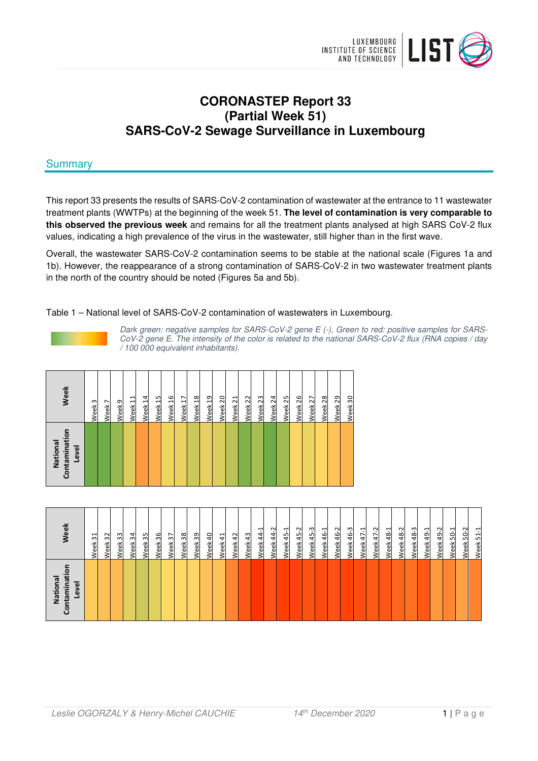

# **CORONASTEP Report 33 (Partial Week 51) SARS-CoV-2 Sewage Surveillance in Luxembourg**

# **Summary**

This report 33 presents the results of SARS-CoV-2 contamination of wastewater at the entrance to 11 wastewater treatment plants (WWTPs) at the beginning of the week 51. **The level of contamination is very comparable to this observed the previous week** and remains for all the treatment plants analysed at high SARS CoV-2 flux values, indicating a high prevalence of the virus in the wastewater, still higher than in the first wave.

Overall, the wastewater SARS-CoV-2 contamination seems to be stable at the national scale (Figures 1a and 1b). However, the reappearance of a strong contamination of SARS-CoV-2 in two wastewater treatment plants in the north of the country should be noted (Figures 5a and 5b).

## Table 1 – National level of SARS-CoV-2 contamination of wastewaters in Luxembourg.



Dark green: negative samples for SARS-CoV-2 gene E (-), Green to red: positive samples for SARS-CoV-2 gene E. The intensity of the color is related to the national SARS-CoV-2 flux (RNA copies / day / 100 000 equivalent inhabitants).

| Contamination<br>National<br>Level | Week               |
|------------------------------------|--------------------|
|                                    | Week <sub>3</sub>  |
|                                    | Week 7             |
|                                    | Week <sub>9</sub>  |
|                                    | Week <sub>11</sub> |
|                                    | Week 14            |
|                                    | Week <sub>15</sub> |
|                                    | Week 16            |
|                                    | Week 17            |
|                                    | Week <sub>18</sub> |
|                                    | Week 19            |
|                                    | Week 20            |
|                                    | Week 21            |
|                                    | Week <sub>22</sub> |
|                                    | Week <sub>23</sub> |
|                                    | Week 24            |
|                                    | Week <sub>25</sub> |
|                                    | Week <sub>26</sub> |
|                                    | Week <sub>27</sub> |
|                                    | Week 28            |
|                                    | Week 29            |
|                                    | Week 30            |

| Contaminatio<br>National<br>Level | Week<br>Week 32<br>33<br>$\overline{31}$<br>Week<br>Week                                                    |
|-----------------------------------|-------------------------------------------------------------------------------------------------------------|
|                                   | Week 36<br>34<br>న్<br>Week<br>Week                                                                         |
|                                   | Week <sub>38</sub><br>Week 37<br>39<br>Week                                                                 |
|                                   | $\overline{a}$<br>Week 42<br>Week 41<br>Week                                                                |
|                                   | Week 45-2<br>$\sim$<br>ᆋ<br>Week 45-1<br>$\overline{4}$<br>$\overline{4}$<br>Week 43<br>Week<br><b>Neek</b> |
|                                   | Week 45-3<br>46-3<br>46-2<br>Week 47-1<br>46-1<br>Week.<br>Week<br><b>Neek</b>                              |
|                                   | Week 47-2<br>48-2<br>Week 48-1<br>Week                                                                      |
|                                   | ო<br>49-2<br>Ņ<br>Week 49-1<br>Week 50-1<br>코<br>S,<br>48<br>님<br>Week<br>Week<br><b>Neek</b><br>Week       |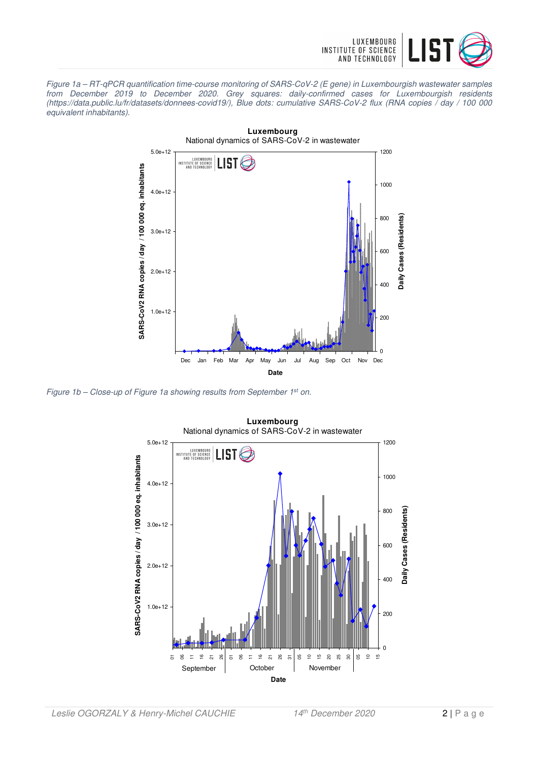

Figure 1a – RT-qPCR quantification time-course monitoring of SARS-CoV-2 (E gene) in Luxembourgish wastewater samples from December 2019 to December 2020. Grey squares: daily-confirmed cases for Luxembourgish residents (https://data.public.lu/fr/datasets/donnees-covid19/), Blue dots: cumulative SARS-CoV-2 flux (RNA copies / day / 100 000 equivalent inhabitants).



Figure 1b – Close-up of Figure 1a showing results from September  $1^{st}$  on.



**Luxembourg**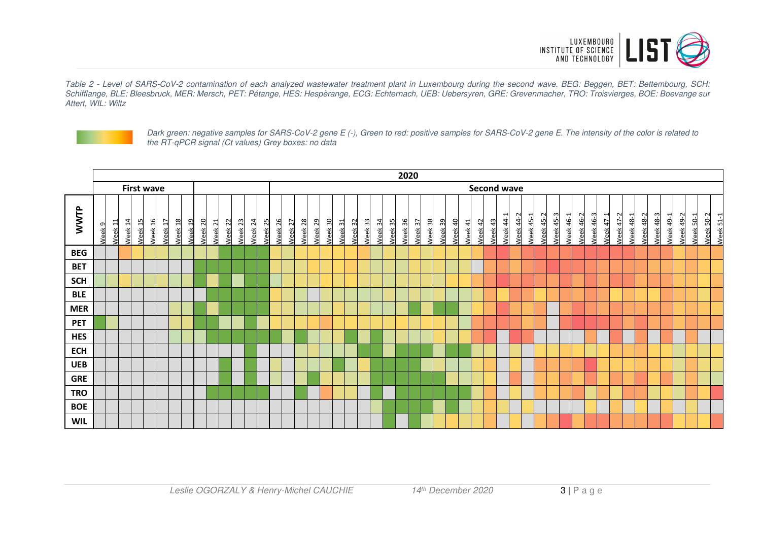

Table 2 - Level of SARS-CoV-2 contamination of each analyzed wastewater treatment plant in Luxembourg during the second wave. BEG: Beggen, BET: Bettembourg, SCH: Schifflange, BLE: Bleesbruck, MER: Mersch, PET: Pétange, HES: Hespèrange, ECG: Echternach, UEB: Uebersyren, GRE: Grevenmacher, TRO: Troisvierges, BOE: Boevange sur Attert, WIL: Wiltz



Dark green: negative samples for SARS-CoV-2 gene E (-), Green to red: positive samples for SARS-CoV-2 gene E. The intensity of the color is related to the RT-qPCR signal (Ct values) Grey boxes: no data

|            | 2020              |                    |                    |                    |                               |                    |                    |                    |                    |         |                    |         |                    |         |         |                    |         |                                          |         |                    |                    |         |         |                    |                    |                    |         |         |         |                  |           |                  |                                      |                  |                  |           |                  |           |                  |                  |                  |                  |                  |           |                        |
|------------|-------------------|--------------------|--------------------|--------------------|-------------------------------|--------------------|--------------------|--------------------|--------------------|---------|--------------------|---------|--------------------|---------|---------|--------------------|---------|------------------------------------------|---------|--------------------|--------------------|---------|---------|--------------------|--------------------|--------------------|---------|---------|---------|------------------|-----------|------------------|--------------------------------------|------------------|------------------|-----------|------------------|-----------|------------------|------------------|------------------|------------------|------------------|-----------|------------------------|
|            | <b>First wave</b> |                    |                    |                    |                               |                    |                    |                    |                    |         |                    |         |                    |         |         |                    |         |                                          |         |                    |                    |         |         |                    | <b>Second wave</b> |                    |         |         |         |                  |           |                  |                                      |                  |                  |           |                  |           |                  |                  |                  |                  |                  |           |                        |
| WWTP       | Week <sub>9</sub> | Week <sub>11</sub> | Week <sub>14</sub> | Week <sub>15</sub> | Week 16<br>Week <sub>17</sub> | Week <sub>18</sub> | Week <sub>19</sub> | Week <sub>20</sub> | Week <sub>21</sub> | Week 22 | Week <sub>23</sub> | Week 24 | Week <sub>25</sub> | Week 26 | Week 27 | Week 28<br>Week 29 | Week 30 | Week <sub>32</sub><br>Week <sub>31</sub> | Week 33 | Week <sub>34</sub> | Neek <sub>35</sub> | Week 36 | Week 37 | Week <sub>38</sub> | Week 39            | Week <sub>40</sub> | Week 41 | Week 42 | Week 43 | <b>Neek 44-1</b> | Week 44-2 | <b>Neek 45-1</b> | <b>Neek 45-3</b><br><b>Neek 45-2</b> | <b>Neek 46-1</b> | <b>Neek 46-2</b> | Week 46-3 | <b>Neek 47-1</b> | Week 47-2 | <b>Neek 48-1</b> | <b>Neek 48-2</b> | <b>Neek 48-3</b> | <b>Neek 49-1</b> | <b>Neek 49-2</b> | Week 50-1 | Week 50-2<br>Week 51-1 |
| <b>BEG</b> |                   |                    |                    |                    |                               |                    |                    |                    |                    |         |                    |         |                    |         |         |                    |         |                                          |         |                    |                    |         |         |                    |                    |                    |         |         |         |                  |           |                  |                                      |                  |                  |           |                  |           |                  |                  |                  |                  |                  |           |                        |
| <b>BET</b> |                   |                    |                    |                    |                               |                    |                    |                    |                    |         |                    |         |                    |         |         |                    |         |                                          |         |                    |                    |         |         |                    |                    |                    |         |         |         |                  |           |                  |                                      |                  |                  |           |                  |           |                  |                  |                  |                  |                  |           |                        |
| <b>SCH</b> |                   |                    |                    |                    |                               |                    |                    |                    |                    |         |                    |         |                    |         |         |                    |         |                                          |         |                    |                    |         |         |                    |                    |                    |         |         |         |                  |           |                  |                                      |                  |                  |           |                  |           |                  |                  |                  |                  |                  |           |                        |
| <b>BLE</b> |                   |                    |                    |                    |                               |                    |                    |                    |                    |         |                    |         |                    |         |         |                    |         |                                          |         |                    |                    |         |         |                    |                    |                    |         |         |         |                  |           |                  |                                      |                  |                  |           |                  |           |                  |                  |                  |                  |                  |           |                        |
| <b>MER</b> |                   |                    |                    |                    |                               |                    |                    |                    |                    |         |                    |         |                    |         |         |                    |         |                                          |         |                    |                    |         |         |                    |                    |                    |         |         |         |                  |           |                  |                                      |                  |                  |           |                  |           |                  |                  |                  |                  |                  |           |                        |
| <b>PET</b> |                   |                    |                    |                    |                               |                    |                    |                    |                    |         |                    |         |                    |         |         |                    |         |                                          |         |                    |                    |         |         |                    |                    |                    |         |         |         |                  |           |                  |                                      |                  |                  |           |                  |           |                  |                  |                  |                  |                  |           |                        |
| <b>HES</b> |                   |                    |                    |                    |                               |                    |                    |                    |                    |         |                    |         |                    |         |         |                    |         |                                          |         |                    |                    |         |         |                    |                    |                    |         |         |         |                  |           |                  |                                      |                  |                  |           |                  |           |                  |                  |                  |                  |                  |           |                        |
| <b>ECH</b> |                   |                    |                    |                    |                               |                    |                    |                    |                    |         |                    |         |                    |         |         |                    |         |                                          |         |                    |                    |         |         |                    |                    |                    |         |         |         |                  |           |                  |                                      |                  |                  |           |                  |           |                  |                  |                  |                  |                  |           |                        |
| <b>UEB</b> |                   |                    |                    |                    |                               |                    |                    |                    |                    |         |                    |         |                    |         |         |                    |         |                                          |         |                    |                    |         |         |                    |                    |                    |         |         |         |                  |           |                  |                                      |                  |                  |           |                  |           |                  |                  |                  |                  |                  |           |                        |
| <b>GRE</b> |                   |                    |                    |                    |                               |                    |                    |                    |                    |         |                    |         |                    |         |         |                    |         |                                          |         |                    |                    |         |         |                    |                    |                    |         |         |         |                  |           |                  |                                      |                  |                  |           |                  |           |                  |                  |                  |                  |                  |           |                        |
| <b>TRO</b> |                   |                    |                    |                    |                               |                    |                    |                    |                    |         |                    |         |                    |         |         |                    |         |                                          |         |                    |                    |         |         |                    |                    |                    |         |         |         |                  |           |                  |                                      |                  |                  |           |                  |           |                  |                  |                  |                  |                  |           |                        |
| <b>BOE</b> |                   |                    |                    |                    |                               |                    |                    |                    |                    |         |                    |         |                    |         |         |                    |         |                                          |         |                    |                    |         |         |                    |                    |                    |         |         |         |                  |           |                  |                                      |                  |                  |           |                  |           |                  |                  |                  |                  |                  |           |                        |
| <b>WIL</b> |                   |                    |                    |                    |                               |                    |                    |                    |                    |         |                    |         |                    |         |         |                    |         |                                          |         |                    |                    |         |         |                    |                    |                    |         |         |         |                  |           |                  |                                      |                  |                  |           |                  |           |                  |                  |                  |                  |                  |           |                        |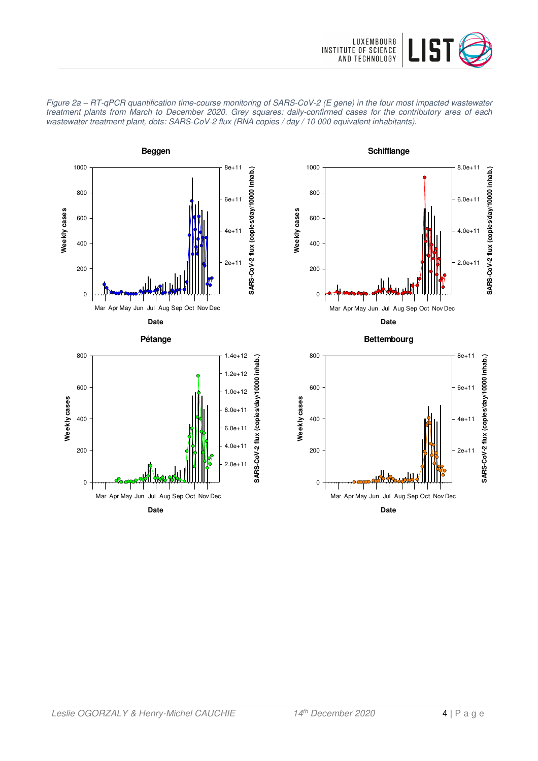









**Date** Mar Apr May Jun Jul Aug Sep Oct Nov Dec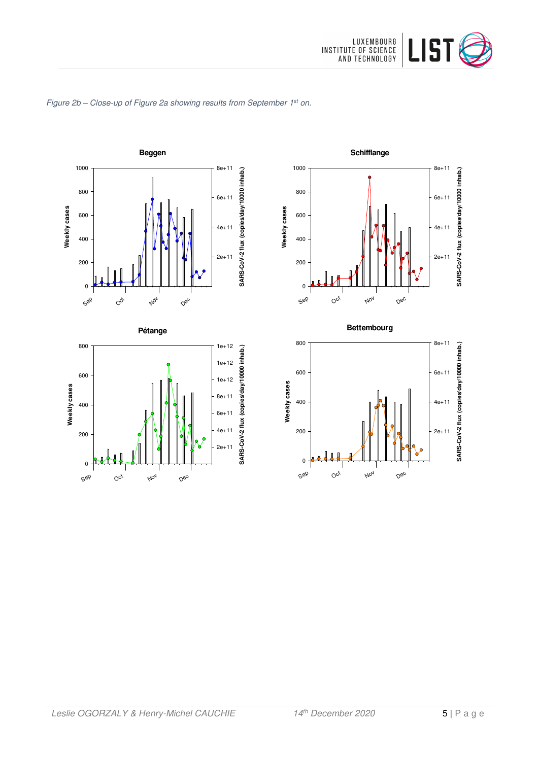







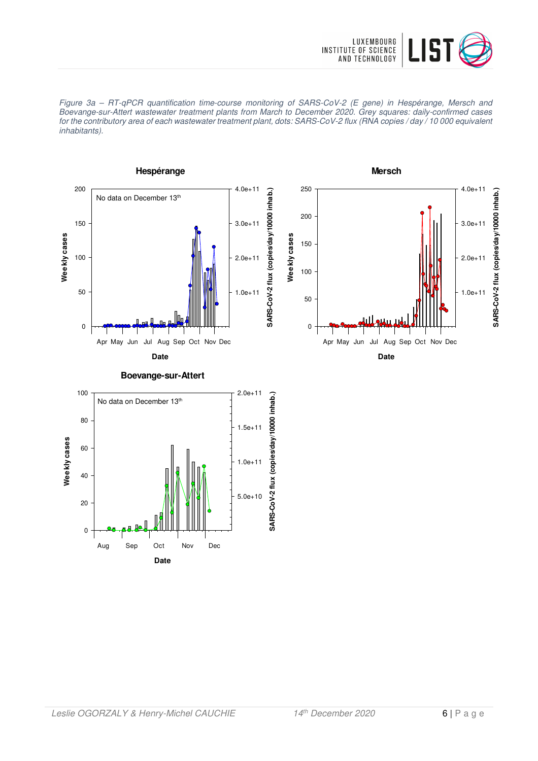





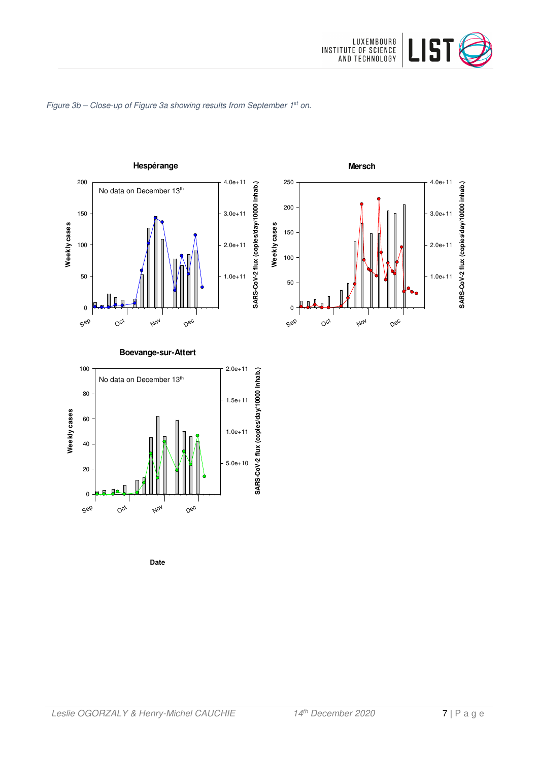

#### Figure 3b - Close-up of Figure 3a showing results from September 1st on.



**Date**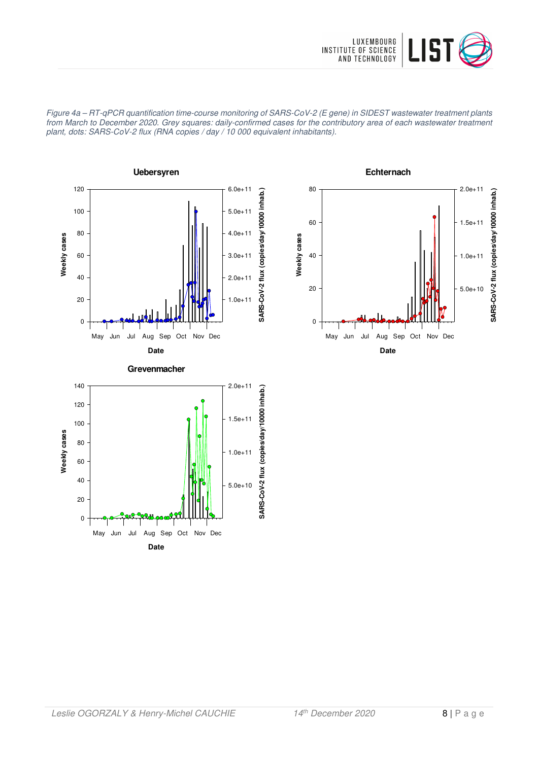

Figure 4a – RT-qPCR quantification time-course monitoring of SARS-CoV-2 (E gene) in SIDEST wastewater treatment plants from March to December 2020. Grey squares: daily-confirmed cases for the contributory area of each wastewater treatment plant, dots: SARS-CoV-2 flux (RNA copies / day / 10 000 equivalent inhabitants).





**Date**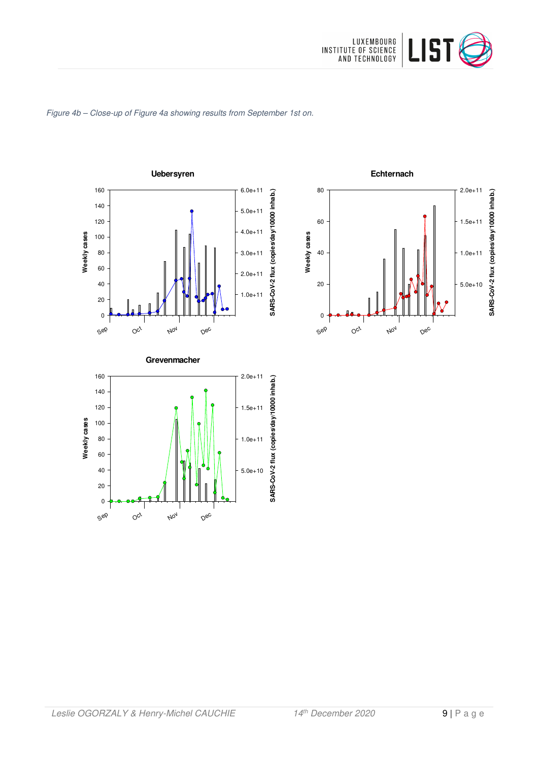

#### Figure 4b – Close-up of Figure 4a showing results from September 1st on.





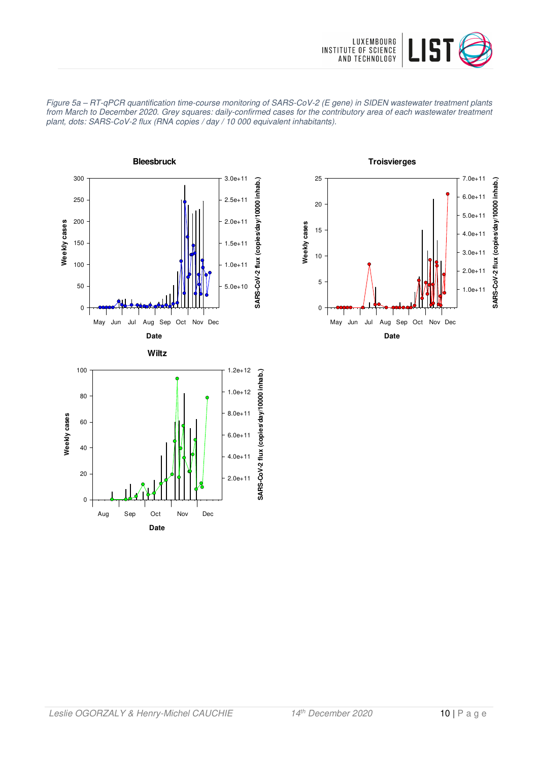



Figure 5a – RT-qPCR quantification time-course monitoring of SARS-CoV-2 (E gene) in SIDEN wastewater treatment plants from March to December 2020. Grey squares: daily-confirmed cases for the contributory area of each wastewater treatment plant, dots: SARS-CoV-2 flux (RNA copies / day / 10 000 equivalent inhabitants).

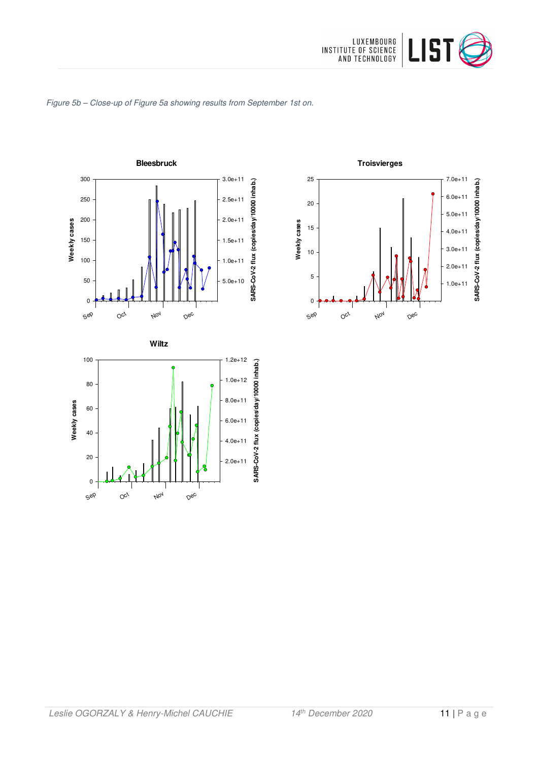







**Troisvierges** 25 7.0e+11 SARS-CoV-2 flux (copies/day/10000 inhab.) **SARS-CoV-2 flux (copies/day/10000 inhab.)** 6.0e+11 20 5.0e+11 Weekly cases **Weekly cases** 15 4.0e+11 3.0e+11 10 2.0e+11 5 1.0e+11 0  $O_{C_f}$ Nov Sep Dec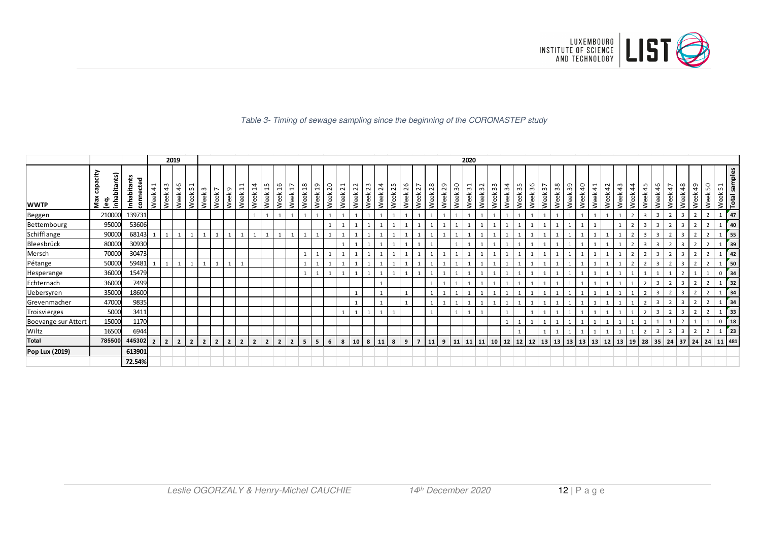

#### Table 3- Timing of sewage sampling since the beginning of the CORONASTEP study

|                     |                                       |                          |                          |                | 2019           |                                       |                |                                  |                  |                                                    |                                       |                                         |                       |                                          |                       |                  |             |                                  |            |              |                         |            |                       |                |            |            |         | 2020         |                                  |         |                                  |            |            |                                        |         |         |                          |            |                     |            |                          |                                                                |                |                          |                |                 |                |                                 |
|---------------------|---------------------------------------|--------------------------|--------------------------|----------------|----------------|---------------------------------------|----------------|----------------------------------|------------------|----------------------------------------------------|---------------------------------------|-----------------------------------------|-----------------------|------------------------------------------|-----------------------|------------------|-------------|----------------------------------|------------|--------------|-------------------------|------------|-----------------------|----------------|------------|------------|---------|--------------|----------------------------------|---------|----------------------------------|------------|------------|----------------------------------------|---------|---------|--------------------------|------------|---------------------|------------|--------------------------|----------------------------------------------------------------|----------------|--------------------------|----------------|-----------------|----------------|---------------------------------|
| <b>WWTP</b>         | ćity<br>abitants)<br>Max<br>စ္ခဲ<br>Ě | Inhabitants<br>connected | 41<br>Week               | m<br>4<br>Week | 46<br>Week     | $\overline{\phantom{0}}$<br>S<br>Week | ന<br>Week      | $\overline{\phantom{0}}$<br>Week | $\sigma$<br>Week | $\overline{ }$<br>$\overline{\phantom{0}}$<br>Week | 4<br>$\overline{\phantom{0}}$<br>Week | LO.<br>$\overline{\phantom{0}}$<br>Week | $\frac{6}{1}$<br>Week | $\overline{ }$<br>$\overline{ }$<br>Week | $\frac{8}{1}$<br>Week | <u>ე</u><br>Week | 20<br>Week  | $\overline{ }$<br>$\sim$<br>Week | 22<br>Week | 23<br>Week   | $\overline{24}$<br>Week | 25<br>Week | G<br>$\sim$<br>畜<br>Š | 27<br>Week     | 28<br>Week | 29<br>Week | Week 30 | Week 31      | $\sim$<br>ന<br>る<br>Š            | Week 33 | $\overline{a}$<br>$\sim$<br>Week | 35<br>Week | 36<br>Week | $\overline{ }$<br>$\mathsf{m}$<br>Week | Week 38 | Week 39 | $\overline{4}$<br>畜<br>Š | 41<br>Week | $\sim$<br>4<br>Week | 43<br>Week | 44<br>Week               | LO.<br>4<br>Week                                               | 46<br>Week     | 47<br>Week               | 48<br>畜<br>Š   | $^{49}$<br>Week | SO<br>Week     | <b>Total samples</b><br>Week 51 |
| Beggen              | 210000                                | 139731                   |                          |                |                |                                       |                |                                  |                  |                                                    |                                       |                                         |                       |                                          |                       |                  |             |                                  |            |              |                         |            |                       |                |            |            |         | $\mathbf{1}$ |                                  |         |                                  |            |            |                                        |         |         |                          |            |                     |            | $\overline{\phantom{a}}$ | $\overline{3}$                                                 |                | $\overline{2}$           | 3              |                 |                | 47<br>$\mathbf{1}$              |
| Bettembourg         | 95000                                 | 53606                    |                          |                |                |                                       |                |                                  |                  |                                                    |                                       |                                         |                       |                                          |                       |                  |             |                                  |            |              |                         |            |                       |                |            |            |         |              |                                  |         |                                  |            |            |                                        |         |         |                          |            |                     |            |                          |                                                                |                | $\overline{\phantom{a}}$ | 3              |                 |                | 40                              |
| Schifflange         | 90000                                 | 68143                    |                          |                |                |                                       |                |                                  |                  |                                                    |                                       |                                         |                       |                                          |                       |                  |             |                                  |            |              |                         |            |                       |                |            |            |         |              |                                  |         |                                  |            |            |                                        |         |         |                          |            |                     |            |                          | 3                                                              |                | $\overline{2}$           | $\overline{3}$ | $\overline{2}$  | $\overline{2}$ | 55                              |
| Bleesbrück          | 80000                                 | 30930                    |                          |                |                |                                       |                |                                  |                  |                                                    |                                       |                                         |                       |                                          |                       |                  |             |                                  |            |              |                         |            |                       |                |            |            |         |              |                                  |         |                                  |            |            |                                        |         |         |                          |            |                     |            |                          |                                                                |                | $\overline{2}$           | 3              |                 |                | 39                              |
| Mersch              | 70000                                 | 30473                    |                          |                |                |                                       |                |                                  |                  |                                                    |                                       |                                         |                       |                                          |                       |                  |             |                                  |            |              |                         |            |                       |                |            |            |         |              |                                  |         |                                  |            |            |                                        |         |         |                          |            |                     |            |                          |                                                                |                | $\mathcal{P}$            |                |                 |                | 42                              |
| Pétange             | 50000                                 | 59481                    |                          |                |                |                                       |                |                                  |                  |                                                    |                                       |                                         |                       |                                          |                       |                  |             |                                  |            |              |                         |            |                       |                |            |            |         |              |                                  |         |                                  |            |            |                                        |         |         |                          |            |                     |            | $\overline{2}$           |                                                                |                | $\overline{2}$           | $\overline{3}$ |                 | $\overline{2}$ | 50<br>$\mathbf{1}$              |
| Hesperange          | 36000                                 | 15479                    |                          |                |                |                                       |                |                                  |                  |                                                    |                                       |                                         |                       |                                          |                       |                  |             |                                  |            | 1            |                         |            |                       |                |            |            |         |              |                                  |         |                                  |            |            |                                        |         |         |                          |            |                     |            |                          |                                                                |                |                          |                |                 |                | 34<br>$\mathbf 0$               |
| Echternach          | 36000                                 | 7499                     |                          |                |                |                                       |                |                                  |                  |                                                    |                                       |                                         |                       |                                          |                       |                  |             |                                  |            |              |                         |            |                       |                |            |            |         |              |                                  |         |                                  |            |            |                                        |         |         |                          |            |                     |            |                          |                                                                |                | $\overline{2}$           | 3              |                 |                | 32                              |
| <b>Uebersyren</b>   | 35000                                 | 18600                    |                          |                |                |                                       |                |                                  |                  |                                                    |                                       |                                         |                       |                                          |                       |                  |             |                                  |            |              |                         |            |                       |                |            |            |         |              |                                  |         |                                  |            |            |                                        |         |         |                          |            |                     |            |                          |                                                                |                | $\overline{2}$           | $\overline{3}$ |                 |                | 34                              |
| Grevenmacher        | 47000                                 | 9835                     |                          |                |                |                                       |                |                                  |                  |                                                    |                                       |                                         |                       |                                          |                       |                  |             |                                  |            |              |                         |            |                       |                |            |            |         |              |                                  |         |                                  |            |            |                                        |         |         |                          |            |                     |            |                          |                                                                |                | $\overline{2}$           | $\overline{3}$ |                 |                | 34                              |
| Troisvierges        | 5000                                  | 3411                     |                          |                |                |                                       |                |                                  |                  |                                                    |                                       |                                         |                       |                                          |                       |                  |             |                                  |            | $\mathbf{1}$ |                         |            |                       |                |            |            |         |              |                                  |         |                                  |            |            |                                        |         |         |                          |            |                     |            |                          |                                                                |                | $\overline{2}$           | 3              |                 |                | 33                              |
| Boevange sur Attert | 15000                                 | 1170                     |                          |                |                |                                       |                |                                  |                  |                                                    |                                       |                                         |                       |                                          |                       |                  |             |                                  |            |              |                         |            |                       |                |            |            |         |              |                                  |         |                                  |            |            |                                        |         |         |                          |            |                     |            |                          |                                                                |                |                          |                |                 |                | <sup>18</sup><br>$\mathbf 0$    |
| Wiltz               | 16500                                 | 6944                     |                          |                |                |                                       |                |                                  |                  |                                                    |                                       |                                         |                       |                                          |                       |                  |             |                                  |            |              |                         |            |                       |                |            |            |         |              |                                  |         |                                  |            |            |                                        |         |         |                          |            |                     |            |                          |                                                                | $\overline{3}$ | $\overline{2}$           | 3              |                 |                | $\overline{23}$                 |
| Total               | 785500                                | 445302                   | $\overline{\phantom{a}}$ | $\overline{2}$ | $\overline{2}$ | $\overline{2}$                        | $\overline{2}$ | $\overline{2}$                   | $\overline{2}$   | $\overline{2}$                                     | $\overline{2}$                        | $\overline{2}$                          | $\overline{2}$        | $\overline{2}$                           | 5 <sup>5</sup>        | 5                | $6^{\circ}$ | 8   10   8   11   8              |            |              |                         |            | 9                     | $\overline{7}$ | $11$ 9     |            |         |              | 11   11   11   10   12   12   12 |         |                                  |            |            |                                        |         |         |                          |            |                     |            |                          | 13   13   13   13   13   12   13   19   28   35   24   37   24 |                |                          |                |                 | 24             | 11 481                          |
| Pop Lux (2019)      |                                       | 613901                   |                          |                |                |                                       |                |                                  |                  |                                                    |                                       |                                         |                       |                                          |                       |                  |             |                                  |            |              |                         |            |                       |                |            |            |         |              |                                  |         |                                  |            |            |                                        |         |         |                          |            |                     |            |                          |                                                                |                |                          |                |                 |                |                                 |
|                     |                                       | 72.54%                   |                          |                |                |                                       |                |                                  |                  |                                                    |                                       |                                         |                       |                                          |                       |                  |             |                                  |            |              |                         |            |                       |                |            |            |         |              |                                  |         |                                  |            |            |                                        |         |         |                          |            |                     |            |                          |                                                                |                |                          |                |                 |                |                                 |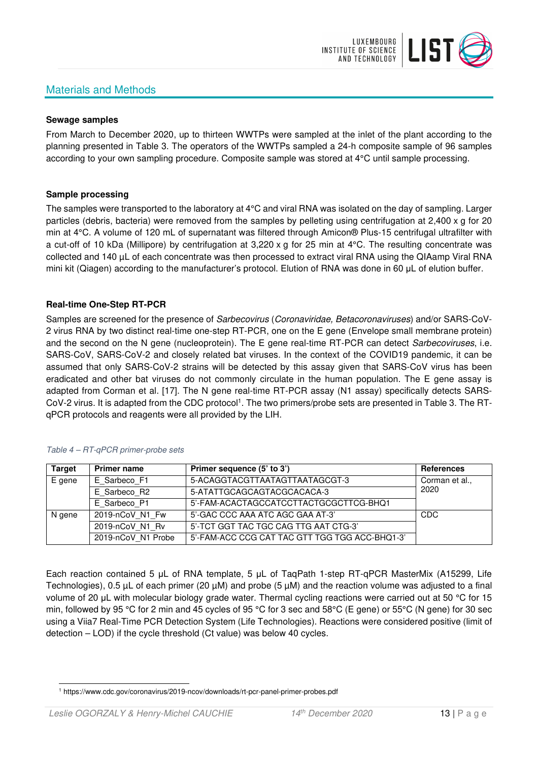# Materials and Methods



#### **Sewage samples**

From March to December 2020, up to thirteen WWTPs were sampled at the inlet of the plant according to the planning presented in Table 3. The operators of the WWTPs sampled a 24-h composite sample of 96 samples according to your own sampling procedure. Composite sample was stored at 4°C until sample processing.

#### **Sample processing**

The samples were transported to the laboratory at 4°C and viral RNA was isolated on the day of sampling. Larger particles (debris, bacteria) were removed from the samples by pelleting using centrifugation at 2,400 x g for 20 min at 4°C. A volume of 120 mL of supernatant was filtered through Amicon® Plus-15 centrifugal ultrafilter with a cut-off of 10 kDa (Millipore) by centrifugation at 3,220 x g for 25 min at 4°C. The resulting concentrate was collected and 140 µL of each concentrate was then processed to extract viral RNA using the QIAamp Viral RNA mini kit (Qiagen) according to the manufacturer's protocol. Elution of RNA was done in 60 μL of elution buffer.

## **Real-time One-Step RT-PCR**

Samples are screened for the presence of *Sarbecovirus (Coronaviridae, Betacoronaviruses*) and/or SARS-CoV-2 virus RNA by two distinct real-time one-step RT-PCR, one on the E gene (Envelope small membrane protein) and the second on the N gene (nucleoprotein). The E gene real-time RT-PCR can detect Sarbecoviruses, i.e. SARS-CoV, SARS-CoV-2 and closely related bat viruses. In the context of the COVID19 pandemic, it can be assumed that only SARS-CoV-2 strains will be detected by this assay given that SARS-CoV virus has been eradicated and other bat viruses do not commonly circulate in the human population. The E gene assay is adapted from Corman et al. [17]. The N gene real-time RT-PCR assay (N1 assay) specifically detects SARS-CoV-2 virus. It is adapted from the CDC protocol<sup>1</sup>. The two primers/probe sets are presented in Table 3. The RTqPCR protocols and reagents were all provided by the LIH.

| <b>Target</b> | <b>Primer name</b> | Primer sequence (5' to 3')                     | <b>References</b> |
|---------------|--------------------|------------------------------------------------|-------------------|
| E gene        | E Sarbeco F1       | 5-ACAGGTACGTTAATAGTTAATAGCGT-3                 | Corman et al.,    |
|               | E Sarbeco R2       | 5-ATATTGCAGCAGTACGCACACA-3                     | 2020              |
|               | E Sarbeco P1       | 5'-FAM-ACACTAGCCATCCTTACTGCGCTTCG-BHQ1         |                   |
| N gene        | 2019-nCoV N1 Fw    | 5'-GAC CCC AAA ATC AGC GAA AT-3'               | CDC               |
|               | 2019-nCoV N1 Rv    | 5'-TCT GGT TAC TGC CAG TTG AAT CTG-3'          |                   |
|               | 2019-nCoV N1 Probe | 5'-FAM-ACC CCG CAT TAC GTT TGG TGG ACC-BHQ1-3' |                   |

#### Table 4 – RT-qPCR primer-probe sets

Each reaction contained 5 μL of RNA template, 5 μL of TaqPath 1-step RT-qPCR MasterMix (A15299, Life Technologies), 0.5 µL of each primer (20 µM) and probe (5 µM) and the reaction volume was adjusted to a final volume of 20 μL with molecular biology grade water. Thermal cycling reactions were carried out at 50 °C for 15 min, followed by 95 °C for 2 min and 45 cycles of 95 °C for 3 sec and 58°C (E gene) or 55°C (N gene) for 30 sec using a Viia7 Real-Time PCR Detection System (Life Technologies). Reactions were considered positive (limit of detection – LOD) if the cycle threshold (Ct value) was below 40 cycles.

<sup>1</sup> https://www.cdc.gov/coronavirus/2019-ncov/downloads/rt-pcr-panel-primer-probes.pdf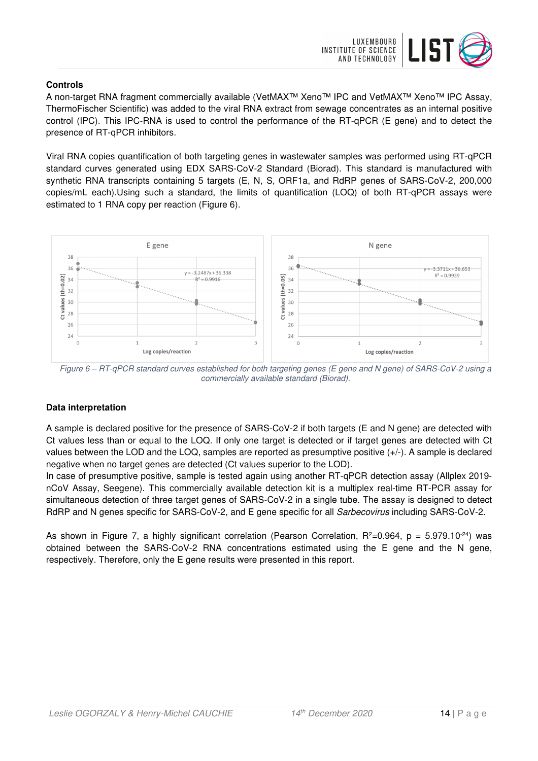

## **Controls**

A non-target RNA fragment commercially available (VetMAX™ Xeno™ IPC and VetMAX™ Xeno™ IPC Assay, ThermoFischer Scientific) was added to the viral RNA extract from sewage concentrates as an internal positive control (IPC). This IPC-RNA is used to control the performance of the RT-qPCR (E gene) and to detect the presence of RT-qPCR inhibitors.

Viral RNA copies quantification of both targeting genes in wastewater samples was performed using RT-qPCR standard curves generated using EDX SARS-CoV-2 Standard (Biorad). This standard is manufactured with synthetic RNA transcripts containing 5 targets (E, N, S, ORF1a, and RdRP genes of SARS-CoV-2, 200,000 copies/mL each).Using such a standard, the limits of quantification (LOQ) of both RT-qPCR assays were estimated to 1 RNA copy per reaction (Figure 6).



Figure 6 – RT-qPCR standard curves established for both targeting genes (E gene and N gene) of SARS-CoV-2 using a commercially available standard (Biorad).

# **Data interpretation**

A sample is declared positive for the presence of SARS-CoV-2 if both targets (E and N gene) are detected with Ct values less than or equal to the LOQ. If only one target is detected or if target genes are detected with Ct values between the LOD and the LOQ, samples are reported as presumptive positive (+/-). A sample is declared negative when no target genes are detected (Ct values superior to the LOD).

In case of presumptive positive, sample is tested again using another RT-qPCR detection assay (Allplex 2019 nCoV Assay, Seegene). This commercially available detection kit is a multiplex real-time RT-PCR assay for simultaneous detection of three target genes of SARS-CoV-2 in a single tube. The assay is designed to detect RdRP and N genes specific for SARS-CoV-2, and E gene specific for all Sarbecovirus including SARS-CoV-2.

As shown in Figure 7, a highly significant correlation (Pearson Correlation,  $R^2=0.964$ ,  $p = 5.979.10^{-24}$ ) was obtained between the SARS-CoV-2 RNA concentrations estimated using the E gene and the N gene, respectively. Therefore, only the E gene results were presented in this report.